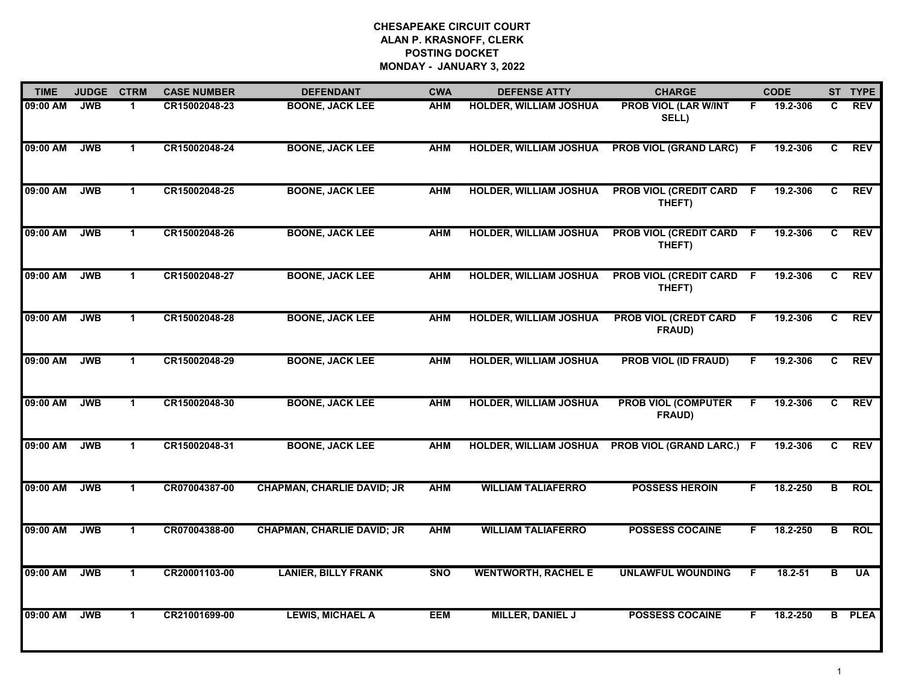| <b>TIME</b> | <b>JUDGE</b> | <b>CTRM</b>          | <b>CASE NUMBER</b> | <b>DEFENDANT</b>                  | <b>CWA</b> | <b>DEFENSE ATTY</b>           | <b>CHARGE</b>                             |     | <b>CODE</b> |                | ST TYPE       |
|-------------|--------------|----------------------|--------------------|-----------------------------------|------------|-------------------------------|-------------------------------------------|-----|-------------|----------------|---------------|
| 09:00 AM    | <b>JWB</b>   | 1.                   | CR15002048-23      | <b>BOONE, JACK LEE</b>            | <b>AHM</b> | <b>HOLDER, WILLIAM JOSHUA</b> | <b>PROB VIOL (LAR W/INT</b><br>SELL)      | F.  | 19.2-306    | C              | <b>REV</b>    |
| 09:00 AM    | <b>JWB</b>   | $\mathbf 1$          | CR15002048-24      | <b>BOONE, JACK LEE</b>            | <b>AHM</b> | <b>HOLDER, WILLIAM JOSHUA</b> | <b>PROB VIOL (GRAND LARC)</b>             | -F. | 19.2-306    | C.             | <b>REV</b>    |
| 09:00 AM    | <b>JWB</b>   | $\mathbf 1$          | CR15002048-25      | <b>BOONE, JACK LEE</b>            | <b>AHM</b> | <b>HOLDER, WILLIAM JOSHUA</b> | <b>PROB VIOL (CREDIT CARD F</b><br>THEFT) |     | 19.2-306    | C              | <b>REV</b>    |
| 09:00 AM    | <b>JWB</b>   | $\mathbf{1}$         | CR15002048-26      | <b>BOONE, JACK LEE</b>            | <b>AHM</b> | <b>HOLDER, WILLIAM JOSHUA</b> | <b>PROB VIOL (CREDIT CARD</b><br>THEFT)   | -F  | 19.2-306    | C              | <b>REV</b>    |
| 09:00 AM    | <b>JWB</b>   | $\mathbf{1}$         | CR15002048-27      | <b>BOONE, JACK LEE</b>            | <b>AHM</b> | <b>HOLDER, WILLIAM JOSHUA</b> | <b>PROB VIOL (CREDIT CARD F</b><br>THEFT) |     | 19.2-306    | C              | <b>REV</b>    |
| 09:00 AM    | <b>JWB</b>   | $\mathbf{1}$         | CR15002048-28      | <b>BOONE, JACK LEE</b>            | <b>AHM</b> | <b>HOLDER, WILLIAM JOSHUA</b> | <b>PROB VIOL (CREDT CARD</b><br>FRAUD)    | - F | 19.2-306    | C              | <b>REV</b>    |
| 09:00 AM    | <b>JWB</b>   | $\mathbf 1$          | CR15002048-29      | <b>BOONE, JACK LEE</b>            | <b>AHM</b> | <b>HOLDER, WILLIAM JOSHUA</b> | <b>PROB VIOL (ID FRAUD)</b>               | F.  | 19.2-306    | $\overline{c}$ | <b>REV</b>    |
| 09:00 AM    | <b>JWB</b>   | $\mathbf{1}$         | CR15002048-30      | <b>BOONE, JACK LEE</b>            | <b>AHM</b> | <b>HOLDER, WILLIAM JOSHUA</b> | <b>PROB VIOL (COMPUTER</b><br>FRAUD)      | F   | 19.2-306    | C.             | <b>REV</b>    |
| 09:00 AM    | <b>JWB</b>   | $\mathbf{1}$         | CR15002048-31      | <b>BOONE, JACK LEE</b>            | <b>AHM</b> | <b>HOLDER, WILLIAM JOSHUA</b> | <b>PROB VIOL (GRAND LARC.)</b>            | -F  | 19.2-306    | C              | <b>REV</b>    |
| 09:00 AM    | <b>JWB</b>   | $\mathbf 1$          | CR07004387-00      | <b>CHAPMAN, CHARLIE DAVID; JR</b> | <b>AHM</b> | <b>WILLIAM TALIAFERRO</b>     | <b>POSSESS HEROIN</b>                     | F.  | 18.2-250    | B              | <b>ROL</b>    |
| 09:00 AM    | <b>JWB</b>   | $\overline{1}$       | CR07004388-00      | <b>CHAPMAN, CHARLIE DAVID; JR</b> | <b>AHM</b> | <b>WILLIAM TALIAFERRO</b>     | <b>POSSESS COCAINE</b>                    | F.  | 18.2-250    | $\overline{B}$ | <b>ROL</b>    |
| 09:00 AM    | <b>JWB</b>   | $\mathbf{1}$         | CR20001103-00      | <b>LANIER, BILLY FRANK</b>        | <b>SNO</b> | <b>WENTWORTH, RACHEL E</b>    | <b>UNLAWFUL WOUNDING</b>                  | F   | $18.2 - 51$ | в              | <b>UA</b>     |
| 09:00 AM    | <b>JWB</b>   | $\blacktriangleleft$ | CR21001699-00      | <b>LEWIS, MICHAEL A</b>           | <b>EEM</b> | <b>MILLER, DANIEL J</b>       | <b>POSSESS COCAINE</b>                    | F   | 18.2-250    |                | <b>B</b> PLEA |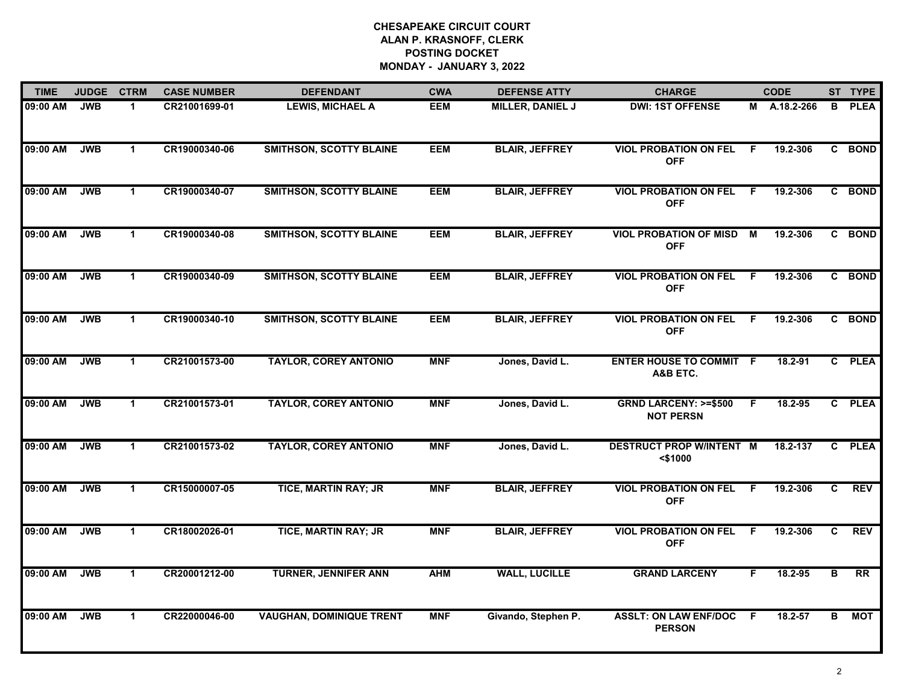| <b>TIME</b> | <b>JUDGE</b> | <b>CTRM</b>          | <b>CASE NUMBER</b> | <b>DEFENDANT</b>                | <b>CWA</b> | <b>DEFENSE ATTY</b>     | <b>CHARGE</b>                                       |     | <b>CODE</b>  |              | ST TYPE         |
|-------------|--------------|----------------------|--------------------|---------------------------------|------------|-------------------------|-----------------------------------------------------|-----|--------------|--------------|-----------------|
| 09:00 AM    | <b>JWB</b>   | $\blacktriangleleft$ | CR21001699-01      | <b>LEWIS, MICHAEL A</b>         | <b>EEM</b> | <b>MILLER, DANIEL J</b> | <b>DWI: 1ST OFFENSE</b>                             |     | M A.18.2-266 | В            | <b>PLEA</b>     |
| 09:00 AM    | <b>JWB</b>   | $\mathbf 1$          | CR19000340-06      | <b>SMITHSON, SCOTTY BLAINE</b>  | <b>EEM</b> | <b>BLAIR, JEFFREY</b>   | <b>VIOL PROBATION ON FEL</b><br><b>OFF</b>          | F.  | 19.2-306     |              | C BOND          |
| 09:00 AM    | <b>JWB</b>   | $\mathbf{1}$         | CR19000340-07      | <b>SMITHSON, SCOTTY BLAINE</b>  | <b>EEM</b> | <b>BLAIR, JEFFREY</b>   | <b>VIOL PROBATION ON FEL</b><br><b>OFF</b>          | E   | 19.2-306     |              | C BOND          |
| 09:00 AM    | <b>JWB</b>   | $\mathbf 1$          | CR19000340-08      | <b>SMITHSON, SCOTTY BLAINE</b>  | <b>EEM</b> | <b>BLAIR, JEFFREY</b>   | <b>VIOL PROBATION OF MISD</b><br><b>OFF</b>         | M   | 19.2-306     |              | C BOND          |
| 09:00 AM    | <b>JWB</b>   | $\mathbf 1$          | CR19000340-09      | <b>SMITHSON, SCOTTY BLAINE</b>  | <b>EEM</b> | <b>BLAIR, JEFFREY</b>   | <b>VIOL PROBATION ON FEL</b><br><b>OFF</b>          | -F  | 19.2-306     |              | C BOND          |
| 09:00 AM    | <b>JWB</b>   | $\mathbf 1$          | CR19000340-10      | <b>SMITHSON, SCOTTY BLAINE</b>  | EEM        | <b>BLAIR, JEFFREY</b>   | <b>VIOL PROBATION ON FEL</b><br><b>OFF</b>          | - F | 19.2-306     |              | C BOND          |
| 09:00 AM    | <b>JWB</b>   | $\mathbf{1}$         | CR21001573-00      | <b>TAYLOR, COREY ANTONIO</b>    | <b>MNF</b> | Jones, David L.         | <b>ENTER HOUSE TO COMMIT F</b><br>A&B ETC.          |     | 18.2-91      | $\mathbf{c}$ | <b>PLEA</b>     |
| 09:00 AM    | <b>JWB</b>   | $\mathbf 1$          | CR21001573-01      | <b>TAYLOR, COREY ANTONIO</b>    | <b>MNF</b> | Jones, David L.         | <b>GRND LARCENY: &gt;=\$500</b><br><b>NOT PERSN</b> | F.  | 18.2-95      |              | C PLEA          |
| 09:00 AM    | <b>JWB</b>   | $\mathbf{1}$         | CR21001573-02      | <b>TAYLOR, COREY ANTONIO</b>    | <b>MNF</b> | Jones, David L.         | <b>DESTRUCT PROP W/INTENT M</b><br>$<$ \$1000       |     | 18.2-137     | C            | <b>PLEA</b>     |
| 09:00 AM    | <b>JWB</b>   | $\mathbf{1}$         | CR15000007-05      | <b>TICE, MARTIN RAY; JR</b>     | <b>MNF</b> | <b>BLAIR, JEFFREY</b>   | <b>VIOL PROBATION ON FEL</b><br><b>OFF</b>          | F   | 19.2-306     | C            | <b>REV</b>      |
| 09:00 AM    | <b>JWB</b>   | $\mathbf 1$          | CR18002026-01      | <b>TICE, MARTIN RAY; JR</b>     | <b>MNF</b> | <b>BLAIR, JEFFREY</b>   | <b>VIOL PROBATION ON FEL F</b><br><b>OFF</b>        |     | 19.2-306     | C            | <b>REV</b>      |
| 09:00 AM    | <b>JWB</b>   | $\mathbf{1}$         | CR20001212-00      | <b>TURNER, JENNIFER ANN</b>     | <b>AHM</b> | <b>WALL, LUCILLE</b>    | <b>GRAND LARCENY</b>                                | F   | 18.2-95      | B            | $\overline{RR}$ |
| 09:00 AM    | <b>JWB</b>   | $\mathbf{1}$         | CR22000046-00      | <b>VAUGHAN, DOMINIQUE TRENT</b> | <b>MNF</b> | Givando, Stephen P.     | <b>ASSLT: ON LAW ENF/DOC</b><br><b>PERSON</b>       | - F | 18.2-57      | B.           | <b>MOT</b>      |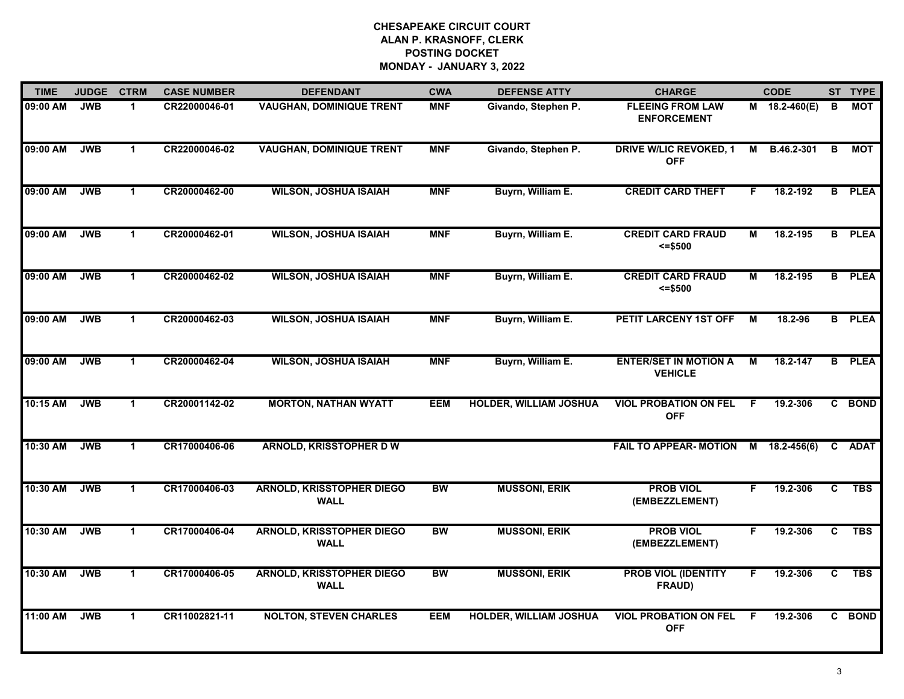| <b>TIME</b> | <b>JUDGE</b> | <b>CTRM</b>          | <b>CASE NUMBER</b> | <b>DEFENDANT</b>                                | <b>CWA</b> | <b>DEFENSE ATTY</b>           | <b>CHARGE</b>                                  |    | <b>CODE</b>   |    | ST TYPE       |
|-------------|--------------|----------------------|--------------------|-------------------------------------------------|------------|-------------------------------|------------------------------------------------|----|---------------|----|---------------|
| 09:00 AM    | <b>JWB</b>   | $\mathbf{1}$         | CR22000046-01      | <b>VAUGHAN, DOMINIQUE TRENT</b>                 | <b>MNF</b> | Givando, Stephen P.           | <b>FLEEING FROM LAW</b><br><b>ENFORCEMENT</b>  |    | M 18.2-460(E) | В  | <b>MOT</b>    |
| 09:00 AM    | <b>JWB</b>   | $\mathbf{1}$         | CR22000046-02      | <b>VAUGHAN, DOMINIQUE TRENT</b>                 | <b>MNF</b> | Givando, Stephen P.           | <b>DRIVE W/LIC REVOKED, 1</b><br><b>OFF</b>    | М  | B.46.2-301    | В  | МОТ           |
| 09:00 AM    | <b>JWB</b>   | $\mathbf{1}$         | CR20000462-00      | <b>WILSON, JOSHUA ISAIAH</b>                    | <b>MNF</b> | Buyrn, William E.             | <b>CREDIT CARD THEFT</b>                       | F. | 18.2-192      |    | <b>B</b> PLEA |
| 09:00 AM    | <b>JWB</b>   | $\mathbf 1$          | CR20000462-01      | <b>WILSON, JOSHUA ISAIAH</b>                    | <b>MNF</b> | Buyrn, William E.             | <b>CREDIT CARD FRAUD</b><br>$= $500$           | М  | 18.2-195      |    | <b>B</b> PLEA |
| 09:00 AM    | <b>JWB</b>   | $\mathbf{1}$         | CR20000462-02      | <b>WILSON, JOSHUA ISAIAH</b>                    | <b>MNF</b> | Buyrn, William E.             | <b>CREDIT CARD FRAUD</b><br>$= $500$           | Μ  | 18.2-195      |    | <b>B</b> PLEA |
| 09:00 AM    | <b>JWB</b>   | $\mathbf{1}$         | CR20000462-03      | <b>WILSON, JOSHUA ISAIAH</b>                    | <b>MNF</b> | Buyrn, William E.             | PETIT LARCENY 1ST OFF                          | M  | 18.2-96       |    | <b>B</b> PLEA |
| 09:00 AM    | <b>JWB</b>   | $\blacktriangleleft$ | CR20000462-04      | <b>WILSON, JOSHUA ISAIAH</b>                    | <b>MNF</b> | Buyrn, William E.             | <b>ENTER/SET IN MOTION A</b><br><b>VEHICLE</b> | М  | 18.2-147      |    | <b>B</b> PLEA |
| 10:15 AM    | <b>JWB</b>   | $\mathbf 1$          | CR20001142-02      | <b>MORTON, NATHAN WYATT</b>                     | <b>EEM</b> | <b>HOLDER, WILLIAM JOSHUA</b> | <b>VIOL PROBATION ON FEL</b><br><b>OFF</b>     | F  | 19.2-306      |    | C BOND        |
| 10:30 AM    | <b>JWB</b>   | $\mathbf 1$          | CR17000406-06      | <b>ARNOLD, KRISSTOPHER D W</b>                  |            |                               | <b>FAIL TO APPEAR- MOTION</b>                  | M  | 18.2-456(6)   | C. | <b>ADAT</b>   |
| 10:30 AM    | <b>JWB</b>   | $\mathbf 1$          | CR17000406-03      | <b>ARNOLD, KRISSTOPHER DIEGO</b><br><b>WALL</b> | <b>BW</b>  | <b>MUSSONI, ERIK</b>          | <b>PROB VIOL</b><br>(EMBEZZLEMENT)             | F. | 19.2-306      | C. | <b>TBS</b>    |
| 10:30 AM    | <b>JWB</b>   | $\mathbf 1$          | CR17000406-04      | <b>ARNOLD, KRISSTOPHER DIEGO</b><br><b>WALL</b> | <b>BW</b>  | <b>MUSSONI, ERIK</b>          | <b>PROB VIOL</b><br>(EMBEZZLEMENT)             | F. | 19.2-306      | C. | <b>TBS</b>    |
| 10:30 AM    | <b>JWB</b>   | $\mathbf{1}$         | CR17000406-05      | <b>ARNOLD, KRISSTOPHER DIEGO</b><br><b>WALL</b> | <b>BW</b>  | <b>MUSSONI, ERIK</b>          | <b>PROB VIOL (IDENTITY</b><br>FRAUD)           | F. | 19.2-306      | C. | <b>TBS</b>    |
| 11:00 AM    | <b>JWB</b>   | $\mathbf{1}$         | CR11002821-11      | <b>NOLTON, STEVEN CHARLES</b>                   | <b>EEM</b> | <b>HOLDER, WILLIAM JOSHUA</b> | <b>VIOL PROBATION ON FEL</b><br><b>OFF</b>     | E  | 19.2-306      |    | C BOND        |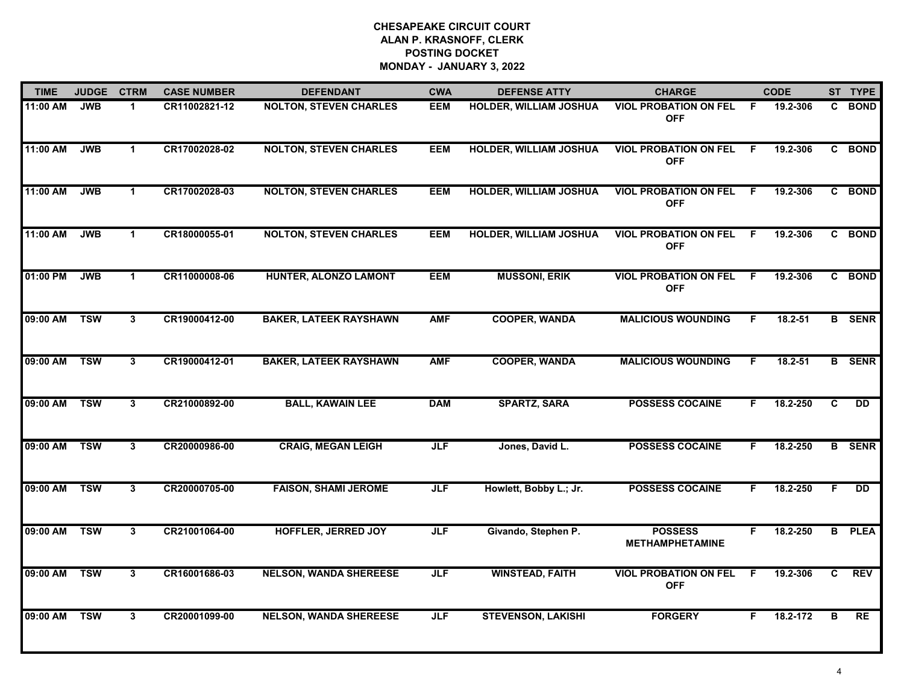| <b>TIME</b> | <b>JUDGE</b> | <b>CTRM</b>  | <b>CASE NUMBER</b> | <b>DEFENDANT</b>              | <b>CWA</b> | <b>DEFENSE ATTY</b>           | <b>CHARGE</b>                              |    | <b>CODE</b> |              | ST TYPE       |
|-------------|--------------|--------------|--------------------|-------------------------------|------------|-------------------------------|--------------------------------------------|----|-------------|--------------|---------------|
| 11:00 AM    | <b>JWB</b>   | $\mathbf 1$  | CR11002821-12      | <b>NOLTON, STEVEN CHARLES</b> | <b>EEM</b> | <b>HOLDER, WILLIAM JOSHUA</b> | <b>VIOL PROBATION ON FEL</b><br><b>OFF</b> | F. | 19.2-306    |              | C BOND        |
| 11:00 AM    | <b>JWB</b>   | $\mathbf 1$  | CR17002028-02      | <b>NOLTON, STEVEN CHARLES</b> | <b>EEM</b> | <b>HOLDER, WILLIAM JOSHUA</b> | <b>VIOL PROBATION ON FEL</b><br><b>OFF</b> | F. | 19.2-306    |              | C BOND        |
| 11:00 AM    | <b>JWB</b>   | $\mathbf{1}$ | CR17002028-03      | <b>NOLTON, STEVEN CHARLES</b> | <b>EEM</b> | <b>HOLDER, WILLIAM JOSHUA</b> | <b>VIOL PROBATION ON FEL</b><br><b>OFF</b> | F. | 19.2-306    |              | C BOND        |
| 11:00 AM    | <b>JWB</b>   | $\mathbf 1$  | CR18000055-01      | <b>NOLTON, STEVEN CHARLES</b> | <b>EEM</b> | <b>HOLDER, WILLIAM JOSHUA</b> | <b>VIOL PROBATION ON FEL</b><br><b>OFF</b> | F. | 19.2-306    |              | C BOND        |
| 01:00 PM    | <b>JWB</b>   | $\mathbf{1}$ | CR11000008-06      | HUNTER, ALONZO LAMONT         | <b>EEM</b> | <b>MUSSONI, ERIK</b>          | <b>VIOL PROBATION ON FEL</b><br><b>OFF</b> | F  | 19.2-306    |              | C BOND        |
| 09:00 AM    | <b>TSW</b>   | 3            | CR19000412-00      | <b>BAKER, LATEEK RAYSHAWN</b> | <b>AMF</b> | <b>COOPER, WANDA</b>          | <b>MALICIOUS WOUNDING</b>                  | F. | 18.2-51     |              | <b>B</b> SENR |
| 09:00 AM    | <b>TSW</b>   | 3            | CR19000412-01      | <b>BAKER, LATEEK RAYSHAWN</b> | <b>AMF</b> | <b>COOPER, WANDA</b>          | <b>MALICIOUS WOUNDING</b>                  | F. | $18.2 - 51$ |              | <b>B</b> SENR |
| 09:00 AM    | <b>TSW</b>   | $\mathbf{3}$ | CR21000892-00      | <b>BALL, KAWAIN LEE</b>       | <b>DAM</b> | <b>SPARTZ, SARA</b>           | <b>POSSESS COCAINE</b>                     | F. | 18.2-250    | $\mathbf{c}$ | <b>DD</b>     |
| 09:00 AM    | <b>TSW</b>   | $\mathbf{3}$ | CR20000986-00      | <b>CRAIG, MEGAN LEIGH</b>     | <b>JLF</b> | Jones, David L.               | <b>POSSESS COCAINE</b>                     | F. | 18.2-250    |              | <b>B</b> SENR |
| 09:00 AM    | <b>TSW</b>   | 3            | CR20000705-00      | <b>FAISON, SHAMI JEROME</b>   | <b>JLF</b> | Howlett, Bobby L.; Jr.        | <b>POSSESS COCAINE</b>                     | F. | 18.2-250    | F.           | <b>DD</b>     |
| 09:00 AM    | <b>TSW</b>   | 3            | CR21001064-00      | <b>HOFFLER, JERRED JOY</b>    | <b>JLF</b> | Givando, Stephen P.           | <b>POSSESS</b><br><b>METHAMPHETAMINE</b>   | F. | 18.2-250    |              | <b>B</b> PLEA |
| 09:00 AM    | <b>TSW</b>   | 3            | CR16001686-03      | <b>NELSON, WANDA SHEREESE</b> | <b>JLF</b> | <b>WINSTEAD, FAITH</b>        | <b>VIOL PROBATION ON FEL</b><br><b>OFF</b> | F. | 19.2-306    | C            | <b>REV</b>    |
| 09:00 AM    | <b>TSW</b>   | $\mathbf{3}$ | CR20001099-00      | <b>NELSON, WANDA SHEREESE</b> | <b>JLF</b> | <b>STEVENSON, LAKISHI</b>     | <b>FORGERY</b>                             | F. | 18.2-172    | B            | <b>RE</b>     |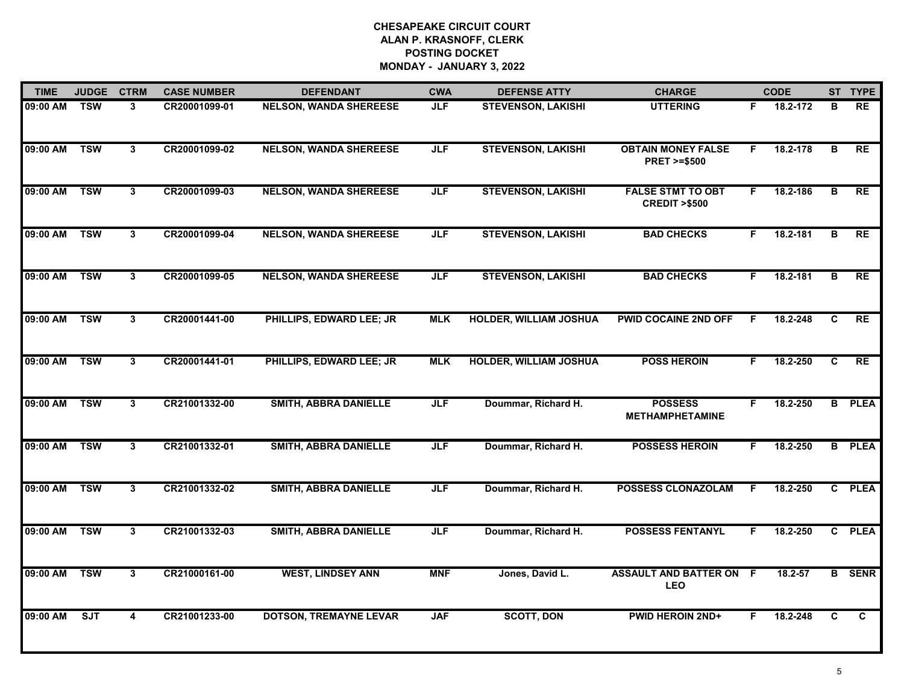| <b>TIME</b> | <b>JUDGE</b> | <b>CTRM</b>             | <b>CASE NUMBER</b> | <b>DEFENDANT</b>              | <b>CWA</b> | <b>DEFENSE ATTY</b>           | <b>CHARGE</b>                                       |    | <b>CODE</b> |                | ST TYPE       |
|-------------|--------------|-------------------------|--------------------|-------------------------------|------------|-------------------------------|-----------------------------------------------------|----|-------------|----------------|---------------|
| 09:00 AM    | <b>TSW</b>   | 3                       | CR20001099-01      | <b>NELSON, WANDA SHEREESE</b> | <b>JLF</b> | <b>STEVENSON, LAKISHI</b>     | <b>UTTERING</b>                                     | F. | 18.2-172    | в              | <b>RE</b>     |
| 09:00 AM    | <b>TSW</b>   | 3                       | CR20001099-02      | <b>NELSON, WANDA SHEREESE</b> | <b>JLF</b> | <b>STEVENSON, LAKISHI</b>     | <b>OBTAIN MONEY FALSE</b><br><b>PRET &gt;=\$500</b> | F  | 18.2-178    | $\overline{B}$ | RE            |
| 09:00 AM    | <b>TSW</b>   | $\mathbf{3}$            | CR20001099-03      | <b>NELSON, WANDA SHEREESE</b> | <b>JLF</b> | <b>STEVENSON, LAKISHI</b>     | <b>FALSE STMT TO OBT</b><br><b>CREDIT &gt;\$500</b> | F. | 18.2-186    | B              | <b>RE</b>     |
| 09:00 AM    | <b>TSW</b>   | 3                       | CR20001099-04      | <b>NELSON, WANDA SHEREESE</b> | <b>JLF</b> | <b>STEVENSON, LAKISHI</b>     | <b>BAD CHECKS</b>                                   | F. | 18.2-181    | в              | RE            |
| 09:00 AM    | <b>TSW</b>   | 3                       | CR20001099-05      | <b>NELSON, WANDA SHEREESE</b> | <b>JLF</b> | <b>STEVENSON, LAKISHI</b>     | <b>BAD CHECKS</b>                                   | F. | 18.2-181    | в              | <b>RE</b>     |
| 09:00 AM    | <b>TSW</b>   | 3                       | CR20001441-00      | PHILLIPS, EDWARD LEE; JR      | <b>MLK</b> | <b>HOLDER, WILLIAM JOSHUA</b> | <b>PWID COCAINE 2ND OFF</b>                         | F  | 18.2-248    | C              | RE            |
| 09:00 AM    | <b>TSW</b>   | $\overline{3}$          | CR20001441-01      | PHILLIPS, EDWARD LEE; JR      | <b>MLK</b> | <b>HOLDER, WILLIAM JOSHUA</b> | <b>POSS HEROIN</b>                                  | F. | 18.2-250    | C              | RE            |
| 09:00 AM    | <b>TSW</b>   | $\overline{\mathbf{3}}$ | CR21001332-00      | SMITH, ABBRA DANIELLE         | <b>JLF</b> | Doummar, Richard H.           | <b>POSSESS</b><br><b>METHAMPHETAMINE</b>            | F. | 18.2-250    |                | <b>B</b> PLEA |
| 09:00 AM    | <b>TSW</b>   | 3                       | CR21001332-01      | SMITH, ABBRA DANIELLE         | <b>JLF</b> | Doummar, Richard H.           | <b>POSSESS HEROIN</b>                               | F. | 18.2-250    |                | <b>B</b> PLEA |
| 09:00 AM    | <b>TSW</b>   | 3                       | CR21001332-02      | <b>SMITH, ABBRA DANIELLE</b>  | <b>JLF</b> | Doummar, Richard H.           | <b>POSSESS CLONAZOLAM</b>                           | F. | 18.2-250    |                | C PLEA        |
| 09:00 AM    | <b>TSW</b>   | 3                       | CR21001332-03      | <b>SMITH, ABBRA DANIELLE</b>  | <b>JLF</b> | Doummar, Richard H.           | <b>POSSESS FENTANYL</b>                             | F  | 18.2-250    |                | C PLEA        |
| 09:00 AM    | <b>TSW</b>   | 3                       | CR21000161-00      | <b>WEST, LINDSEY ANN</b>      | <b>MNF</b> | Jones, David L.               | <b>ASSAULT AND BATTER ON F</b><br><b>LEO</b>        |    | 18.2-57     |                | <b>B</b> SENR |
| 09:00 AM    | SJT          | $\overline{\mathbf{4}}$ | CR21001233-00      | <b>DOTSON, TREMAYNE LEVAR</b> | <b>JAF</b> | <b>SCOTT, DON</b>             | <b>PWID HEROIN 2ND+</b>                             | F. | 18.2-248    | C              | C.            |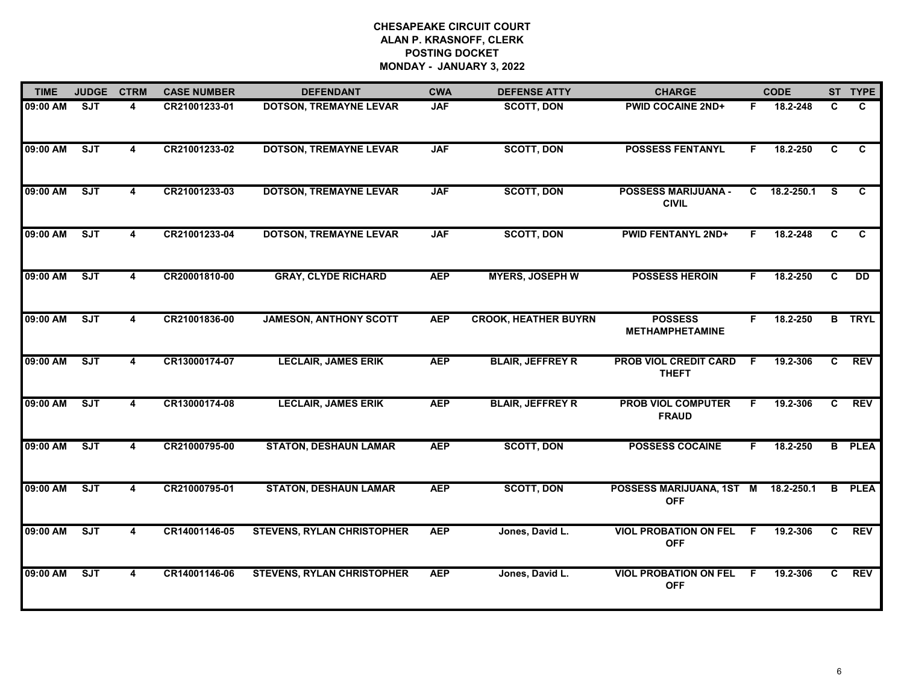| <b>TIME</b> | <b>JUDGE</b> | <b>CTRM</b> | <b>CASE NUMBER</b> | <b>DEFENDANT</b>                  | <b>CWA</b> | <b>DEFENSE ATTY</b>         | <b>CHARGE</b>                              |    | <b>CODE</b> |              | ST TYPE         |
|-------------|--------------|-------------|--------------------|-----------------------------------|------------|-----------------------------|--------------------------------------------|----|-------------|--------------|-----------------|
| 09:00 AM    | ST           | 4           | CR21001233-01      | <b>DOTSON, TREMAYNE LEVAR</b>     | <b>JAF</b> | <b>SCOTT, DON</b>           | <b>PWID COCAINE 2ND+</b>                   | F. | 18.2-248    | C.           | C               |
| 09:00 AM    | ST           | 4           | CR21001233-02      | <b>DOTSON, TREMAYNE LEVAR</b>     | <b>JAF</b> | <b>SCOTT, DON</b>           | <b>POSSESS FENTANYL</b>                    | F. | 18.2-250    | C.           | C               |
| 09:00 AM    | ST           | 4           | CR21001233-03      | <b>DOTSON, TREMAYNE LEVAR</b>     | <b>JAF</b> | <b>SCOTT, DON</b>           | <b>POSSESS MARIJUANA -</b><br><b>CIVIL</b> | C. | 18.2-250.1  | S.           | C               |
| 09:00 AM    | ST           | 4           | CR21001233-04      | <b>DOTSON, TREMAYNE LEVAR</b>     | <b>JAF</b> | <b>SCOTT, DON</b>           | <b>PWID FENTANYL 2ND+</b>                  | F. | 18.2-248    | C            | C               |
| 09:00 AM    | ST           | 4           | CR20001810-00      | <b>GRAY, CLYDE RICHARD</b>        | <b>AEP</b> | <b>MYERS, JOSEPH W</b>      | <b>POSSESS HEROIN</b>                      | F. | 18.2-250    | $\mathbf{C}$ | $\overline{DD}$ |
| 09:00 AM    | ST           |             | CR21001836-00      | <b>JAMESON, ANTHONY SCOTT</b>     | <b>AEP</b> | <b>CROOK, HEATHER BUYRN</b> | <b>POSSESS</b><br><b>METHAMPHETAMINE</b>   | F. | 18.2-250    |              | <b>B</b> TRYL   |
| 09:00 AM    | ST           |             | CR13000174-07      | <b>LECLAIR, JAMES ERIK</b>        | <b>AEP</b> | <b>BLAIR, JEFFREY R</b>     | PROB VIOL CREDIT CARD<br><b>THEFT</b>      | F. | 19.2-306    | C.           | <b>REV</b>      |
| 09:00 AM    | ST           | 4           | CR13000174-08      | <b>LECLAIR, JAMES ERIK</b>        | <b>AEP</b> | <b>BLAIR, JEFFREY R</b>     | <b>PROB VIOL COMPUTER</b><br><b>FRAUD</b>  | F. | 19.2-306    | C.           | <b>REV</b>      |
| 09:00 AM    | ST           | 4           | CR21000795-00      | <b>STATON, DESHAUN LAMAR</b>      | <b>AEP</b> | <b>SCOTT, DON</b>           | <b>POSSESS COCAINE</b>                     | F. | 18.2-250    |              | <b>B</b> PLEA   |
| 09:00 AM    | ST           |             | CR21000795-01      | <b>STATON, DESHAUN LAMAR</b>      | <b>AEP</b> | <b>SCOTT, DON</b>           | POSSESS MARIJUANA, 1ST M<br><b>OFF</b>     |    | 18.2-250.1  | B            | <b>PLEA</b>     |
| 09:00 AM    | ST           | 4           | CR14001146-05      | <b>STEVENS, RYLAN CHRISTOPHER</b> | <b>AEP</b> | Jones, David L.             | <b>VIOL PROBATION ON FEL</b><br><b>OFF</b> | F. | 19.2-306    | C.           | <b>REV</b>      |
| 09:00 AM    | ST           | 4           | CR14001146-06      | <b>STEVENS, RYLAN CHRISTOPHER</b> | <b>AEP</b> | Jones, David L.             | <b>VIOL PROBATION ON FEL</b><br><b>OFF</b> | F. | 19.2-306    | C.           | <b>REV</b>      |